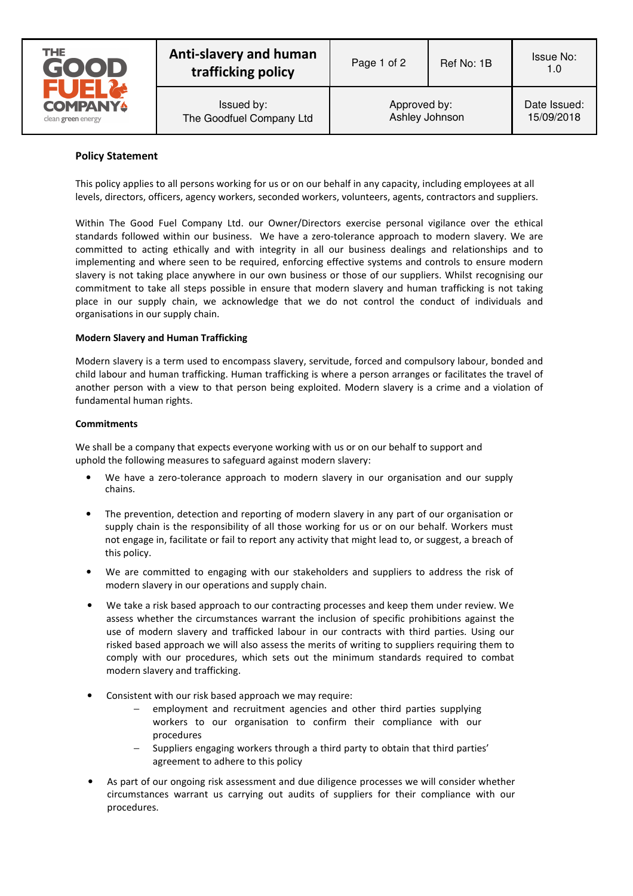

Issued by: The Goodfuel Company Ltd

## **Policy Statement**

This policy applies to all persons working for us or on our behalf in any capacity, including employees at all levels, directors, officers, agency workers, seconded workers, volunteers, agents, contractors and suppliers.

Within The Good Fuel Company Ltd. our Owner/Directors exercise personal vigilance over the ethical standards followed within our business. We have a zero-tolerance approach to modern slavery. We are committed to acting ethically and with integrity in all our business dealings and relationships and to implementing and where seen to be required, enforcing effective systems and controls to ensure modern slavery is not taking place anywhere in our own business or those of our suppliers. Whilst recognising our commitment to take all steps possible in ensure that modern slavery and human trafficking is not taking place in our supply chain, we acknowledge that we do not control the conduct of individuals and organisations in our supply chain.

## **Modern Slavery and Human Trafficking**

Modern slavery is a term used to encompass slavery, servitude, forced and compulsory labour, bonded and child labour and human trafficking. Human trafficking is where a person arranges or facilitates the travel of another person with a view to that person being exploited. Modern slavery is a crime and a violation of fundamental human rights.

## **Commitments**

We shall be a company that expects everyone working with us or on our behalf to support and uphold the following measures to safeguard against modern slavery:

- We have a zero-tolerance approach to modern slavery in our organisation and our supply chains.
- The prevention, detection and reporting of modern slavery in any part of our organisation or supply chain is the responsibility of all those working for us or on our behalf. Workers must not engage in, facilitate or fail to report any activity that might lead to, or suggest, a breach of this policy.
- We are committed to engaging with our stakeholders and suppliers to address the risk of modern slavery in our operations and supply chain.
- We take a risk based approach to our contracting processes and keep them under review. We assess whether the circumstances warrant the inclusion of specific prohibitions against the use of modern slavery and trafficked labour in our contracts with third parties. Using our risked based approach we will also assess the merits of writing to suppliers requiring them to comply with our procedures, which sets out the minimum standards required to combat modern slavery and trafficking.
- Consistent with our risk based approach we may require:
	- employment and recruitment agencies and other third parties supplying workers to our organisation to confirm their compliance with our procedures
	- Suppliers engaging workers through a third party to obtain that third parties' agreement to adhere to this policy
- As part of our ongoing risk assessment and due diligence processes we will consider whether circumstances warrant us carrying out audits of suppliers for their compliance with our procedures.